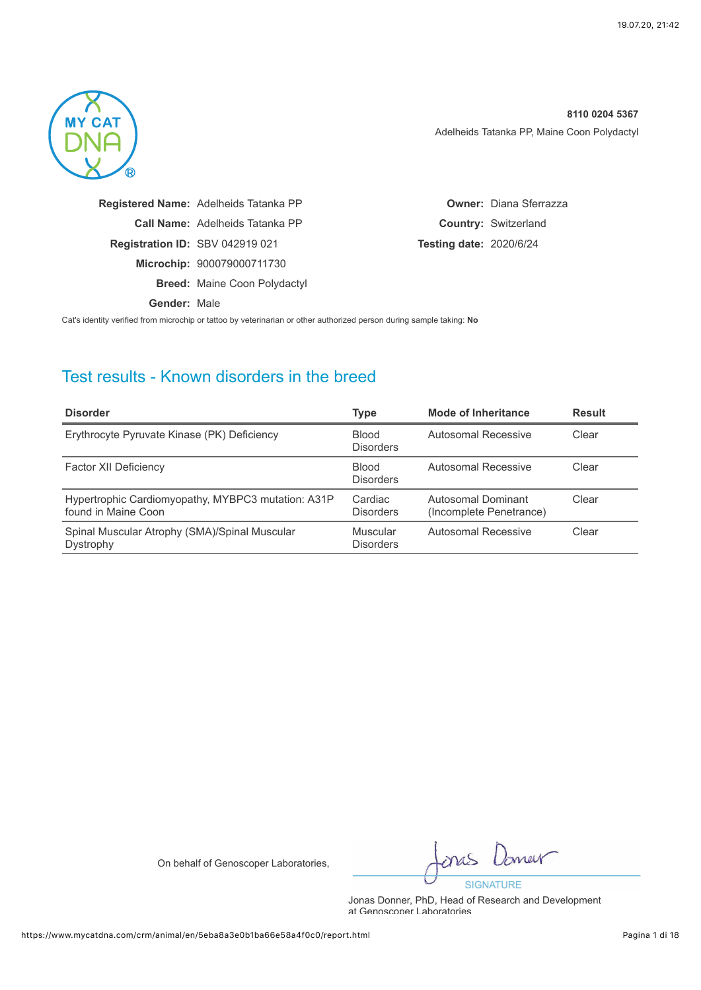

|              | Registered Name: Adelheids Tatanka PP  |                                | <b>Owner: Diana Sferrazza</b> |
|--------------|----------------------------------------|--------------------------------|-------------------------------|
|              | <b>Call Name:</b> Adelheids Tatanka PP |                                | <b>Country: Switzerland</b>   |
|              | <b>Registration ID: SBV 042919 021</b> | <b>Testing date: 2020/6/24</b> |                               |
|              | Microchip: 900079000711730             |                                |                               |
|              | <b>Breed: Maine Coon Polydactyl</b>    |                                |                               |
| Gender: Male |                                        |                                |                               |

Cat's identity verified from microchip or tattoo by veterinarian or other authorized person during sample taking: **No**

## Test results - Known disorders in the breed

| <b>Disorder</b>                                                           | <b>Type</b>                      | Mode of Inheritance                           | <b>Result</b> |
|---------------------------------------------------------------------------|----------------------------------|-----------------------------------------------|---------------|
| Erythrocyte Pyruvate Kinase (PK) Deficiency                               | <b>Blood</b><br><b>Disorders</b> | Autosomal Recessive                           | Clear         |
| Factor XII Deficiency                                                     | <b>Blood</b><br><b>Disorders</b> | Autosomal Recessive                           | Clear         |
| Hypertrophic Cardiomyopathy, MYBPC3 mutation: A31P<br>found in Maine Coon | Cardiac<br><b>Disorders</b>      | Autosomal Dominant<br>(Incomplete Penetrance) | Clear         |
| Spinal Muscular Atrophy (SMA)/Spinal Muscular<br>Dystrophy                | Muscular<br><b>Disorders</b>     | Autosomal Recessive                           | Clear         |

On behalf of Genoscoper Laboratories,

merr **SIGNATURE**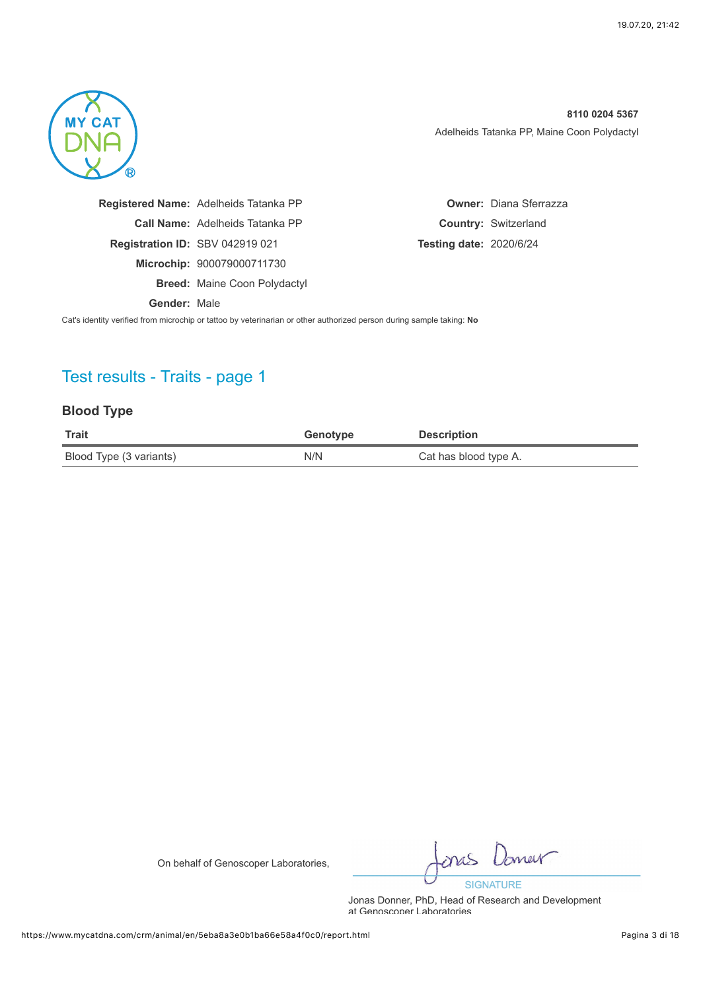

|              | Registered Name: Adelheids Tatanka PP  |                                | <b>Owner: Diana Sferrazza</b> |
|--------------|----------------------------------------|--------------------------------|-------------------------------|
|              | <b>Call Name:</b> Adelheids Tatanka PP |                                | <b>Country: Switzerland</b>   |
|              | <b>Registration ID: SBV 042919 021</b> | <b>Testing date: 2020/6/24</b> |                               |
|              | Microchip: 900079000711730             |                                |                               |
|              | <b>Breed: Maine Coon Polydactyl</b>    |                                |                               |
| Gender: Male |                                        |                                |                               |

Cat's identity verified from microchip or tattoo by veterinarian or other authorized person during sample taking: **No**

# Test results - Traits - page 1

### **Blood Type**

| <b>Trait</b>            | Genotype | <b>Description</b>    |
|-------------------------|----------|-----------------------|
| Blood Type (3 variants) | N/N      | Cat has blood type A. |

On behalf of Genoscoper Laboratories,

mer nas **SIGNATURE**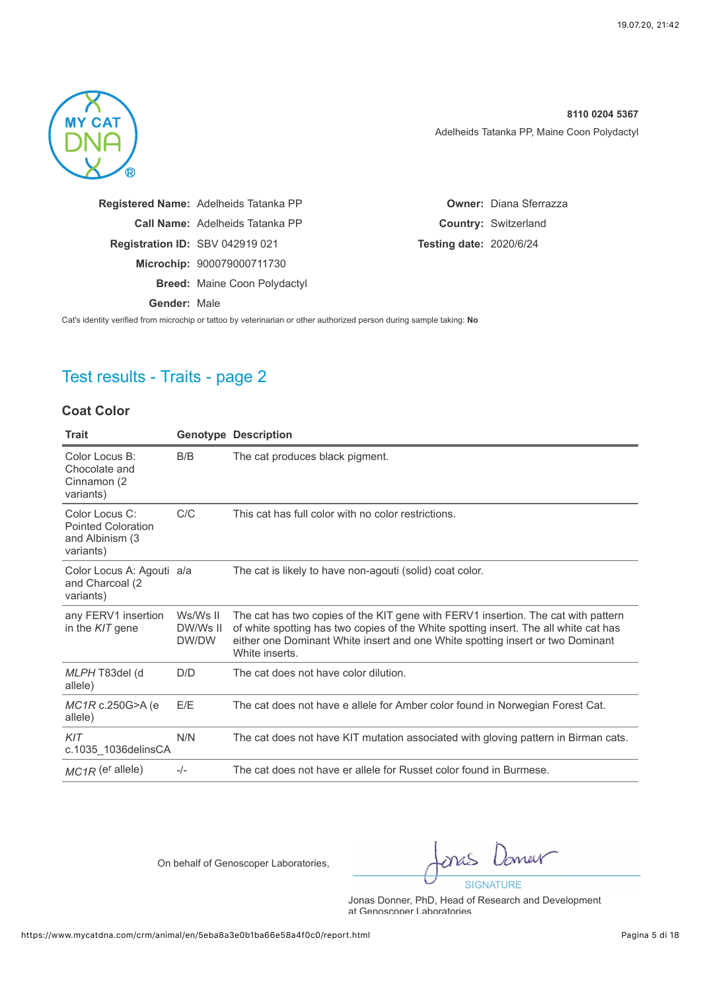

|              | Registered Name: Adelheids Tatanka PP  | <b>Owner: Diana Sferrazza</b>  |
|--------------|----------------------------------------|--------------------------------|
|              | <b>Call Name:</b> Adelheids Tatanka PP | <b>Country: Switzerland</b>    |
|              | <b>Registration ID: SBV 042919 021</b> | <b>Testing date: 2020/6/24</b> |
|              | Microchip: 900079000711730             |                                |
|              | <b>Breed: Maine Coon Polydactyl</b>    |                                |
| Gender: Male |                                        |                                |
|              |                                        |                                |

Cat's identity verified from microchip or tattoo by veterinarian or other authorized person during sample taking: **No**

# Test results - Traits - page 2

#### **Coat Color**

| <b>Trait</b>                                                                 |                               | <b>Genotype Description</b>                                                                                                                                                                                                                                                   |
|------------------------------------------------------------------------------|-------------------------------|-------------------------------------------------------------------------------------------------------------------------------------------------------------------------------------------------------------------------------------------------------------------------------|
| Color Locus B:<br>Chocolate and<br>Cinnamon (2)<br>variants)                 | B/B                           | The cat produces black pigment.                                                                                                                                                                                                                                               |
| Color Locus C:<br><b>Pointed Coloration</b><br>and Albinism (3)<br>variants) | C/C                           | This cat has full color with no color restrictions.                                                                                                                                                                                                                           |
| Color Locus A: Agouti a/a<br>and Charcoal (2)<br>variants)                   |                               | The cat is likely to have non-agouti (solid) coat color.                                                                                                                                                                                                                      |
| any FERV1 insertion<br>in the KIT gene                                       | Ws/Ws II<br>DW/Ws II<br>DW/DW | The cat has two copies of the KIT gene with FERV1 insertion. The cat with pattern<br>of white spotting has two copies of the White spotting insert. The all white cat has<br>either one Dominant White insert and one White spotting insert or two Dominant<br>White inserts. |
| MLPH T83del (d<br>allele)                                                    | D/D                           | The cat does not have color dilution.                                                                                                                                                                                                                                         |
| $MC1R$ c.250G>A (e)<br>allele)                                               | E/E                           | The cat does not have e allele for Amber color found in Norwegian Forest Cat.                                                                                                                                                                                                 |
| KIT<br>c.1035 1036 delins CA                                                 | N/N                           | The cat does not have KIT mutation associated with gloving pattern in Birman cats.                                                                                                                                                                                            |
| $MC1R$ (er allele)                                                           | $-/-$                         | The cat does not have er allele for Russet color found in Burmese.                                                                                                                                                                                                            |

On behalf of Genoscoper Laboratories,

Jones nas **SIGNATURE**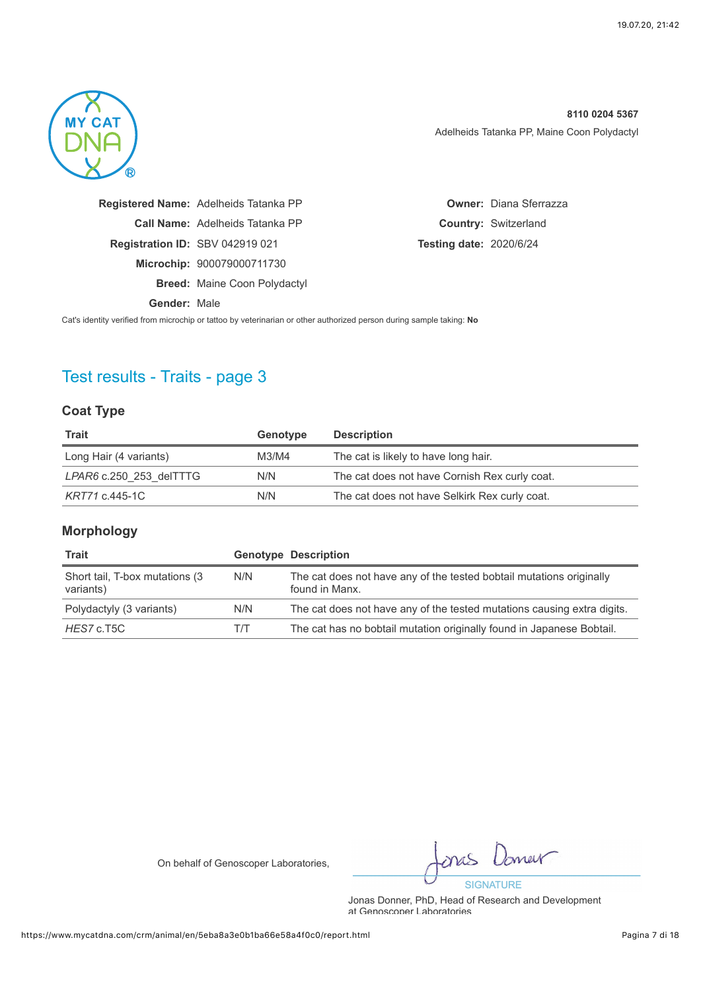

|              | Registered Name: Adelheids Tatanka PP  |                                | <b>Owner: Diana Sferrazza</b> |
|--------------|----------------------------------------|--------------------------------|-------------------------------|
|              | <b>Call Name:</b> Adelheids Tatanka PP |                                | <b>Country: Switzerland</b>   |
|              | <b>Registration ID: SBV 042919 021</b> | <b>Testing date: 2020/6/24</b> |                               |
|              | Microchip: 900079000711730             |                                |                               |
|              | <b>Breed: Maine Coon Polydactyl</b>    |                                |                               |
| Gender: Male |                                        |                                |                               |

Cat's identity verified from microchip or tattoo by veterinarian or other authorized person during sample taking: **No**

# Test results - Traits - page 3

### **Coat Type**

| Trait                   | Genotype | <b>Description</b>                            |
|-------------------------|----------|-----------------------------------------------|
| Long Hair (4 variants)  | M3/M4    | The cat is likely to have long hair.          |
| LPAR6 c.250 253 delTTTG | N/N      | The cat does not have Cornish Rex curly coat. |
| KRT71 c.445-1C          | N/N      | The cat does not have Selkirk Rex curly coat. |

#### **Morphology**

| <b>Trait</b>                                 |     | <b>Genotype Description</b>                                                            |
|----------------------------------------------|-----|----------------------------------------------------------------------------------------|
| Short tail, T-box mutations (3)<br>variants) | N/N | The cat does not have any of the tested bobtail mutations originally<br>found in Manx. |
| Polydactyly (3 variants)                     | N/N | The cat does not have any of the tested mutations causing extra digits.                |
| HES7 c.T5C                                   | TÆ  | The cat has no bobtail mutation originally found in Japanese Bobtail.                  |

On behalf of Genoscoper Laboratories,

merr **SIGNATURE**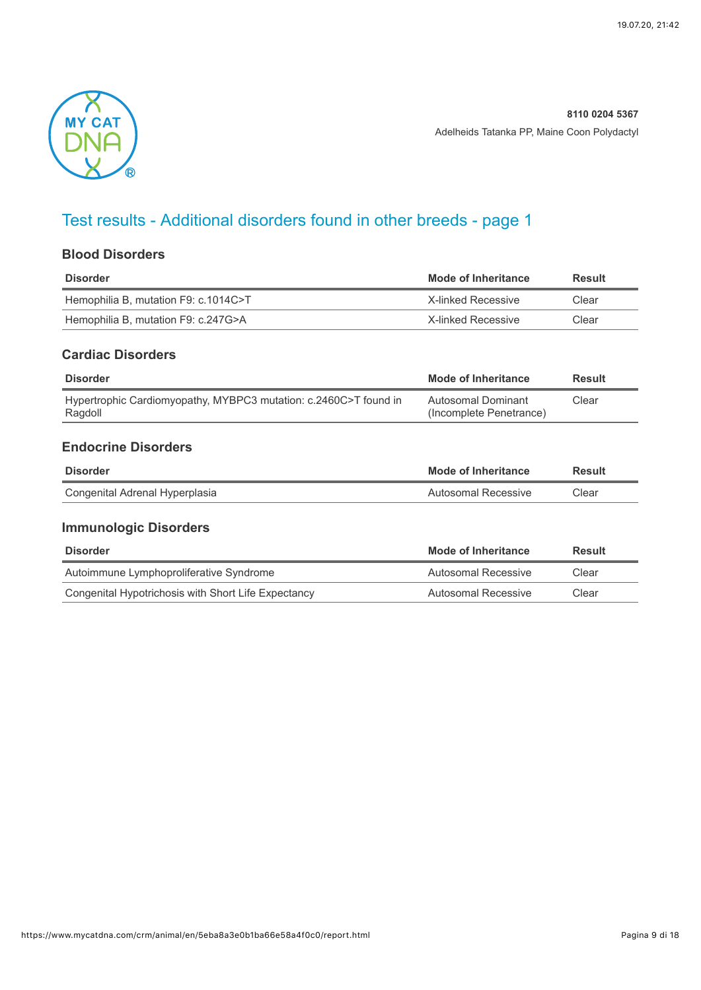

# Test results - Additional disorders found in other breeds - page 1

### **Blood Disorders**

| Disorder                             | <b>Mode of Inheritance</b> | Result |
|--------------------------------------|----------------------------|--------|
| Hemophilia B, mutation F9: c.1014C>T | X-linked Recessive         | Clear  |
| Hemophilia B, mutation F9: c.247G>A  | X-linked Recessive         | Clear  |

### **Cardiac Disorders**

| <b>Disorder</b>                                                             | Mode of Inheritance                           | <b>Result</b> |
|-----------------------------------------------------------------------------|-----------------------------------------------|---------------|
| Hypertrophic Cardiomyopathy, MYBPC3 mutation: c.2460C>T found in<br>Ragdoll | Autosomal Dominant<br>(Incomplete Penetrance) | Clear         |

### **Endocrine Disorders**

| <b>Disorder</b>                | Mode of Inheritance | Result |
|--------------------------------|---------------------|--------|
| Congenital Adrenal Hyperplasia | Autosomal Recessive | Clear  |

## **Immunologic Disorders**

| <b>Disorder</b>                                     | Mode of Inheritance | Result |
|-----------------------------------------------------|---------------------|--------|
| Autoimmune Lymphoproliferative Syndrome             | Autosomal Recessive | Clear  |
| Congenital Hypotrichosis with Short Life Expectancy | Autosomal Recessive | Clear  |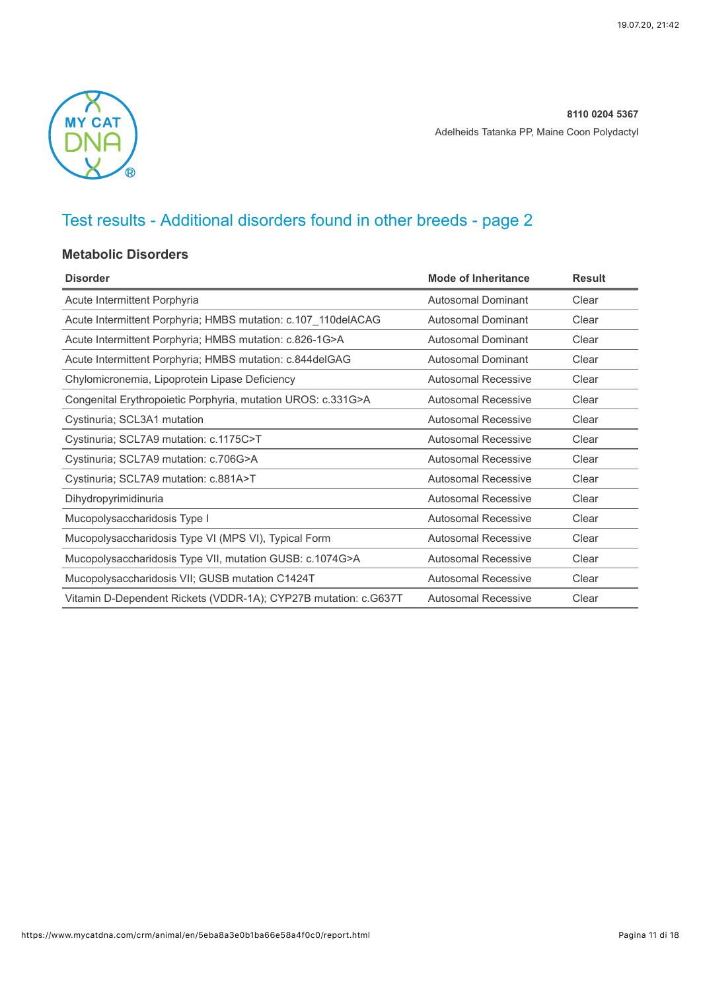

# Test results - Additional disorders found in other breeds - page 2

### **Metabolic Disorders**

| <b>Disorder</b>                                                 | <b>Mode of Inheritance</b> | <b>Result</b> |
|-----------------------------------------------------------------|----------------------------|---------------|
| Acute Intermittent Porphyria                                    | Autosomal Dominant         | Clear         |
| Acute Intermittent Porphyria; HMBS mutation: c.107_110delACAG   | <b>Autosomal Dominant</b>  | Clear         |
| Acute Intermittent Porphyria; HMBS mutation: c.826-1G>A         | Autosomal Dominant         | Clear         |
| Acute Intermittent Porphyria; HMBS mutation: c.844delGAG        | <b>Autosomal Dominant</b>  | Clear         |
| Chylomicronemia, Lipoprotein Lipase Deficiency                  | <b>Autosomal Recessive</b> | Clear         |
| Congenital Erythropoietic Porphyria, mutation UROS: c.331G>A    | Autosomal Recessive        | Clear         |
| Cystinuria; SCL3A1 mutation                                     | <b>Autosomal Recessive</b> | Clear         |
| Cystinuria; SCL7A9 mutation: c.1175C>T                          | <b>Autosomal Recessive</b> | Clear         |
| Cystinuria; SCL7A9 mutation: c.706G>A                           | Autosomal Recessive        | Clear         |
| Cystinuria; SCL7A9 mutation: c.881A>T                           | <b>Autosomal Recessive</b> | Clear         |
| Dihydropyrimidinuria                                            | Autosomal Recessive        | Clear         |
| Mucopolysaccharidosis Type I                                    | <b>Autosomal Recessive</b> | Clear         |
| Mucopolysaccharidosis Type VI (MPS VI), Typical Form            | <b>Autosomal Recessive</b> | Clear         |
| Mucopolysaccharidosis Type VII, mutation GUSB: c.1074G>A        | <b>Autosomal Recessive</b> | Clear         |
| Mucopolysaccharidosis VII; GUSB mutation C1424T                 | <b>Autosomal Recessive</b> | Clear         |
| Vitamin D-Dependent Rickets (VDDR-1A); CYP27B mutation: c.G637T | Autosomal Recessive        | Clear         |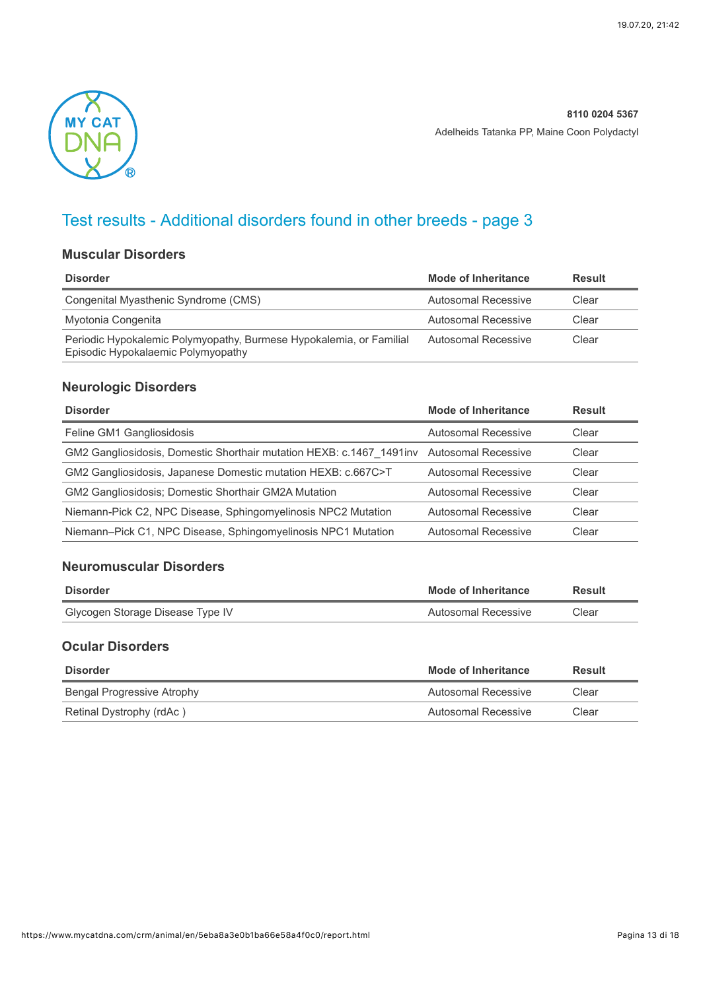

# Test results - Additional disorders found in other breeds - page 3

### **Muscular Disorders**

| <b>Disorder</b>                                                                                           | Mode of Inheritance | <b>Result</b> |
|-----------------------------------------------------------------------------------------------------------|---------------------|---------------|
| Congenital Myasthenic Syndrome (CMS)                                                                      | Autosomal Recessive | Clear         |
| Myotonia Congenita                                                                                        | Autosomal Recessive | Clear         |
| Periodic Hypokalemic Polymyopathy, Burmese Hypokalemia, or Familial<br>Episodic Hypokalaemic Polymyopathy | Autosomal Recessive | Clear         |

### **Neurologic Disorders**

| <b>Mode of Inheritance</b> | <b>Result</b>                                                                            |
|----------------------------|------------------------------------------------------------------------------------------|
| Autosomal Recessive        | Clear                                                                                    |
|                            | Clear                                                                                    |
| Autosomal Recessive        | Clear                                                                                    |
| Autosomal Recessive        | Clear                                                                                    |
| Autosomal Recessive        | Clear                                                                                    |
| <b>Autosomal Recessive</b> | Clear                                                                                    |
|                            | GM2 Gangliosidosis, Domestic Shorthair mutation HEXB: c.1467 1491inv Autosomal Recessive |

#### **Neuromuscular Disorders**

| <b>Disorder</b>                  | Mode of Inheritance | <b>Result</b> |
|----------------------------------|---------------------|---------------|
| Glycogen Storage Disease Type IV | Autosomal Recessive | Clear         |

### **Ocular Disorders**

| <b>Disorder</b>            | Mode of Inheritance | Result |
|----------------------------|---------------------|--------|
| Bengal Progressive Atrophy | Autosomal Recessive | Clear  |
| Retinal Dystrophy (rdAc)   | Autosomal Recessive | Clear  |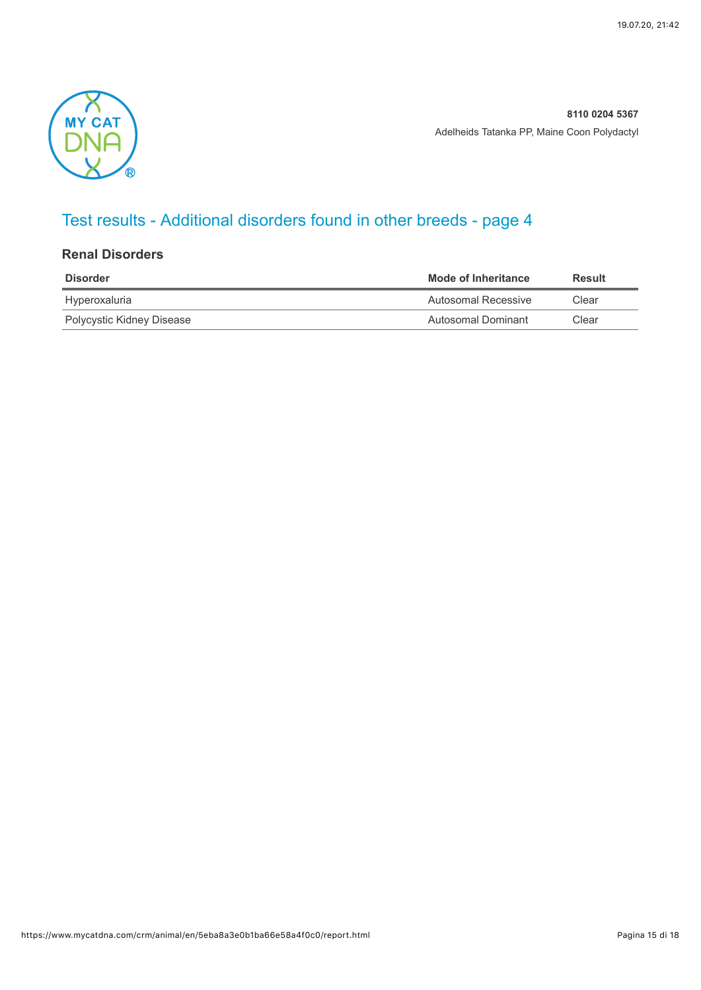

# Test results - Additional disorders found in other breeds - page 4

#### **Renal Disorders**

| <b>Disorder</b>           | Mode of Inheritance | <b>Result</b> |
|---------------------------|---------------------|---------------|
| Hyperoxaluria             | Autosomal Recessive | Clear         |
| Polycystic Kidney Disease | Autosomal Dominant  | Clear         |